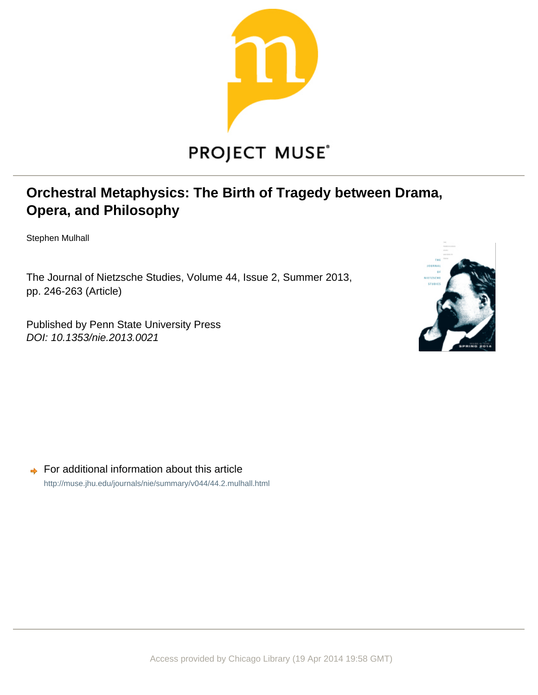

# **Orchestral Metaphysics: The Birth of Tragedy between Drama, Opera, and Philosophy**

Stephen Mulhall

The Journal of Nietzsche Studies, Volume 44, Issue 2, Summer 2013, pp. 246-263 (Article)

Published by Penn State University Press DOI: 10.1353/nie.2013.0021



For additional information about this article <http://muse.jhu.edu/journals/nie/summary/v044/44.2.mulhall.html>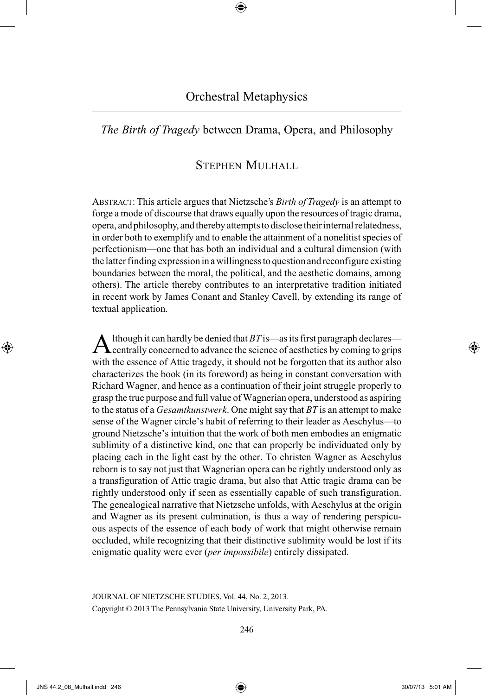# *The Birth of Tragedy* between Drama, Opera, and Philosophy

# Stephen Mulhall

Abstract: This article argues that Nietzsche's *Birth of Tragedy* is an attempt to forge a mode of discourse that draws equally upon the resources of tragic drama, opera, and philosophy, and thereby attempts to disclose their internal relatedness, in order both to exemplify and to enable the attainment of a nonelitist species of perfectionism—one that has both an individual and a cultural dimension (with the latter finding expression in a willingness to question and reconfigure existing boundaries between the moral, the political, and the aesthetic domains, among others). The article thereby contributes to an interpretative tradition initiated in recent work by James Conant and Stanley Cavell, by extending its range of textual application.

Although it can hardly be denied that *BT* is—as its first paragraph declares—<br>centrally concerned to advance the science of aesthetics by coming to grips with the essence of Attic tragedy, it should not be forgotten that its author also characterizes the book (in its foreword) as being in constant conversation with Richard Wagner, and hence as a continuation of their joint struggle properly to grasp the true purpose and full value of Wagnerian opera, understood as aspiring to the status of a *Gesamtkunstwerk*. One might say that *BT* is an attempt to make sense of the Wagner circle's habit of referring to their leader as Aeschylus—to ground Nietzsche's intuition that the work of both men embodies an enigmatic sublimity of a distinctive kind, one that can properly be individuated only by placing each in the light cast by the other. To christen Wagner as Aeschylus reborn is to say not just that Wagnerian opera can be rightly understood only as a transfiguration of Attic tragic drama, but also that Attic tragic drama can be rightly understood only if seen as essentially capable of such transfiguration. The genealogical narrative that Nietzsche unfolds, with Aeschylus at the origin and Wagner as its present culmination, is thus a way of rendering perspicuous aspects of the essence of each body of work that might otherwise remain occluded, while recognizing that their distinctive sublimity would be lost if its enigmatic quality were ever (*per impossibile*) entirely dissipated.

Journal of Nietzsche Studies, Vol. 44, No. 2, 2013.

Copyright © 2013 The Pennsylvania State University, University Park, PA.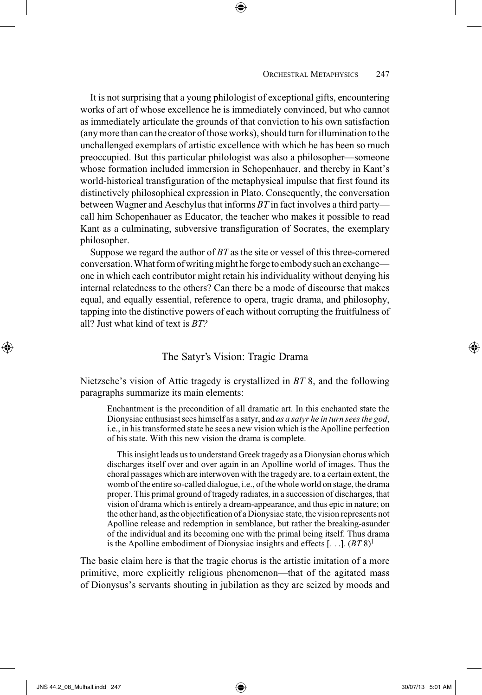It is not surprising that a young philologist of exceptional gifts, encountering works of art of whose excellence he is immediately convinced, but who cannot as immediately articulate the grounds of that conviction to his own satisfaction (any more than can the creator of those works), should turn for illumination to the unchallenged exemplars of artistic excellence with which he has been so much preoccupied. But this particular philologist was also a philosopher—someone whose formation included immersion in Schopenhauer, and thereby in Kant's world-historical transfiguration of the metaphysical impulse that first found its distinctively philosophical expression in Plato. Consequently, the conversation between Wagner and Aeschylus that informs *BT* in fact involves a third party call him Schopenhauer as Educator, the teacher who makes it possible to read Kant as a culminating, subversive transfiguration of Socrates, the exemplary philosopher.

Suppose we regard the author of *BT* as the site or vessel of this three-cornered conversation. What form of writing might he forge to embody such an exchange one in which each contributor might retain his individuality without denying his internal relatedness to the others? Can there be a mode of discourse that makes equal, and equally essential, reference to opera, tragic drama, and philosophy, tapping into the distinctive powers of each without corrupting the fruitfulness of all? Just what kind of text is *BT?*

## The Satyr's Vision: Tragic Drama

Nietzsche's vision of Attic tragedy is crystallized in *BT* 8, and the following paragraphs summarize its main elements:

Enchantment is the precondition of all dramatic art. In this enchanted state the Dionysiac enthusiast sees himself as a satyr, and *as a satyr he in turn sees the god*, i.e., in his transformed state he sees a new vision which is the Apolline perfection of his state. With this new vision the drama is complete.

This insight leads us to understand Greek tragedy as a Dionysian chorus which discharges itself over and over again in an Apolline world of images. Thus the choral passages which are interwoven with the tragedy are, to a certain extent, the womb of the entire so-called dialogue, i.e., of the whole world on stage, the drama proper. This primal ground of tragedy radiates, in a succession of discharges, that vision of drama which is entirely a dream-appearance, and thus epic in nature; on the other hand, as the objectification of a Dionysiac state, the vision represents not Apolline release and redemption in semblance, but rather the breaking-asunder of the individual and its becoming one with the primal being itself. Thus drama is the Apolline embodiment of Dionysiac insights and effects  $[...]$ .  $(BT8)^1$ 

The basic claim here is that the tragic chorus is the artistic imitation of a more primitive, more explicitly religious phenomenon—that of the agitated mass of Dionysus's servants shouting in jubilation as they are seized by moods and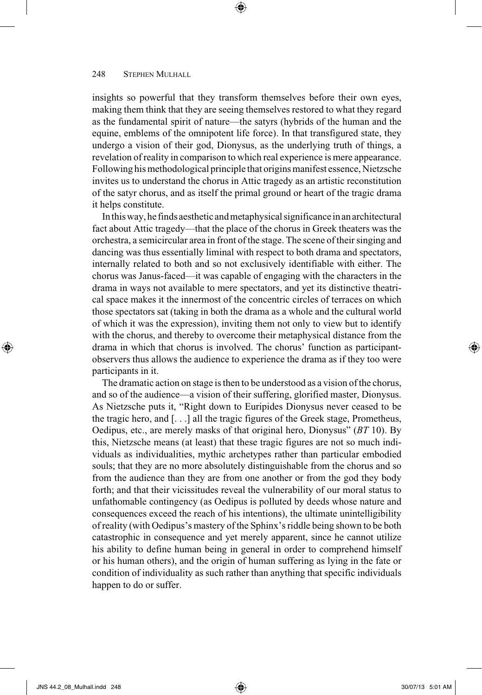insights so powerful that they transform themselves before their own eyes, making them think that they are seeing themselves restored to what they regard as the fundamental spirit of nature—the satyrs (hybrids of the human and the equine, emblems of the omnipotent life force). In that transfigured state, they undergo a vision of their god, Dionysus, as the underlying truth of things, a revelation of reality in comparison to which real experience is mere appearance. Following his methodological principle that origins manifest essence, Nietzsche invites us to understand the chorus in Attic tragedy as an artistic reconstitution of the satyr chorus, and as itself the primal ground or heart of the tragic drama it helps constitute.

In this way, he finds aesthetic and metaphysical significance in an architectural fact about Attic tragedy—that the place of the chorus in Greek theaters was the orchestra, a semicircular area in front of the stage. The scene of their singing and dancing was thus essentially liminal with respect to both drama and spectators, internally related to both and so not exclusively identifiable with either. The chorus was Janus-faced—it was capable of engaging with the characters in the drama in ways not available to mere spectators, and yet its distinctive theatrical space makes it the innermost of the concentric circles of terraces on which those spectators sat (taking in both the drama as a whole and the cultural world of which it was the expression), inviting them not only to view but to identify with the chorus, and thereby to overcome their metaphysical distance from the drama in which that chorus is involved. The chorus' function as participantobservers thus allows the audience to experience the drama as if they too were participants in it.

The dramatic action on stage is then to be understood as a vision of the chorus, and so of the audience—a vision of their suffering, glorified master, Dionysus. As Nietzsche puts it, "Right down to Euripides Dionysus never ceased to be the tragic hero, and [. . .] all the tragic figures of the Greek stage, Prometheus, Oedipus, etc., are merely masks of that original hero, Dionysus" (*BT* 10). By this, Nietzsche means (at least) that these tragic figures are not so much individuals as individualities, mythic archetypes rather than particular embodied souls; that they are no more absolutely distinguishable from the chorus and so from the audience than they are from one another or from the god they body forth; and that their vicissitudes reveal the vulnerability of our moral status to unfathomable contingency (as Oedipus is polluted by deeds whose nature and consequences exceed the reach of his intentions), the ultimate unintelligibility of reality (with Oedipus's mastery of the Sphinx's riddle being shown to be both catastrophic in consequence and yet merely apparent, since he cannot utilize his ability to define human being in general in order to comprehend himself or his human others), and the origin of human suffering as lying in the fate or condition of individuality as such rather than anything that specific individuals happen to do or suffer.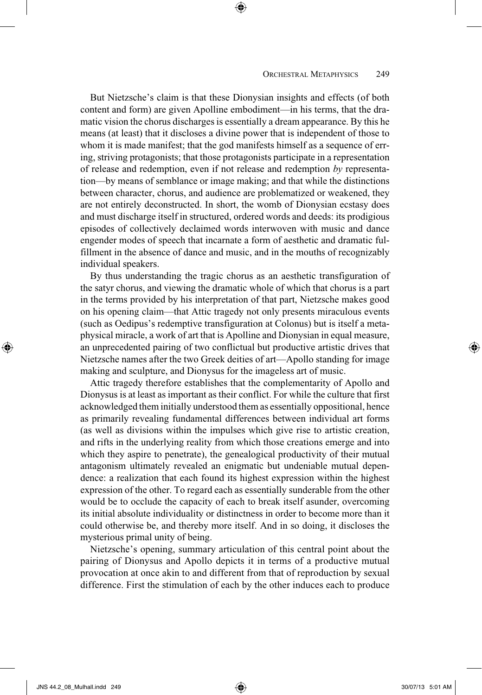But Nietzsche's claim is that these Dionysian insights and effects (of both content and form) are given Apolline embodiment—in his terms, that the dramatic vision the chorus discharges is essentially a dream appearance. By this he means (at least) that it discloses a divine power that is independent of those to whom it is made manifest; that the god manifests himself as a sequence of erring, striving protagonists; that those protagonists participate in a representation of release and redemption, even if not release and redemption *by* representation—by means of semblance or image making; and that while the distinctions between character, chorus, and audience are problematized or weakened, they are not entirely deconstructed. In short, the womb of Dionysian ecstasy does and must discharge itself in structured, ordered words and deeds: its prodigious episodes of collectively declaimed words interwoven with music and dance engender modes of speech that incarnate a form of aesthetic and dramatic fulfillment in the absence of dance and music, and in the mouths of recognizably individual speakers.

By thus understanding the tragic chorus as an aesthetic transfiguration of the satyr chorus, and viewing the dramatic whole of which that chorus is a part in the terms provided by his interpretation of that part, Nietzsche makes good on his opening claim—that Attic tragedy not only presents miraculous events (such as Oedipus's redemptive transfiguration at Colonus) but is itself a metaphysical miracle, a work of art that is Apolline and Dionysian in equal measure, an unprecedented pairing of two conflictual but productive artistic drives that Nietzsche names after the two Greek deities of art—Apollo standing for image making and sculpture, and Dionysus for the imageless art of music.

Attic tragedy therefore establishes that the complementarity of Apollo and Dionysus is at least as important as their conflict. For while the culture that first acknowledged them initially understood them as essentially oppositional, hence as primarily revealing fundamental differences between individual art forms (as well as divisions within the impulses which give rise to artistic creation, and rifts in the underlying reality from which those creations emerge and into which they aspire to penetrate), the genealogical productivity of their mutual antagonism ultimately revealed an enigmatic but undeniable mutual dependence: a realization that each found its highest expression within the highest expression of the other. To regard each as essentially sunderable from the other would be to occlude the capacity of each to break itself asunder, overcoming its initial absolute individuality or distinctness in order to become more than it could otherwise be, and thereby more itself. And in so doing, it discloses the mysterious primal unity of being.

Nietzsche's opening, summary articulation of this central point about the pairing of Dionysus and Apollo depicts it in terms of a productive mutual provocation at once akin to and different from that of reproduction by sexual difference. First the stimulation of each by the other induces each to produce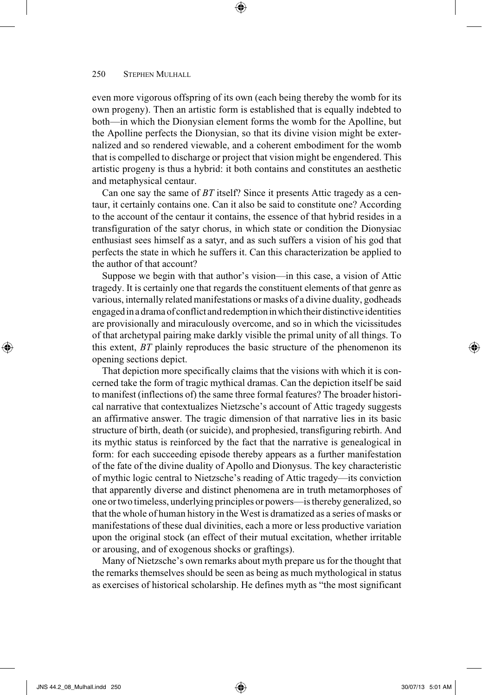even more vigorous offspring of its own (each being thereby the womb for its own progeny). Then an artistic form is established that is equally indebted to both—in which the Dionysian element forms the womb for the Apolline, but the Apolline perfects the Dionysian, so that its divine vision might be externalized and so rendered viewable, and a coherent embodiment for the womb that is compelled to discharge or project that vision might be engendered. This artistic progeny is thus a hybrid: it both contains and constitutes an aesthetic and metaphysical centaur.

Can one say the same of *BT* itself? Since it presents Attic tragedy as a centaur, it certainly contains one. Can it also be said to constitute one? According to the account of the centaur it contains, the essence of that hybrid resides in a transfiguration of the satyr chorus, in which state or condition the Dionysiac enthusiast sees himself as a satyr, and as such suffers a vision of his god that perfects the state in which he suffers it. Can this characterization be applied to the author of that account?

Suppose we begin with that author's vision—in this case, a vision of Attic tragedy. It is certainly one that regards the constituent elements of that genre as various, internally related manifestations or masks of a divine duality, godheads engaged in a drama of conflict and redemption in which their distinctive identities are provisionally and miraculously overcome, and so in which the vicissitudes of that archetypal pairing make darkly visible the primal unity of all things. To this extent, *BT* plainly reproduces the basic structure of the phenomenon its opening sections depict.

That depiction more specifically claims that the visions with which it is concerned take the form of tragic mythical dramas. Can the depiction itself be said to manifest (inflections of) the same three formal features? The broader historical narrative that contextualizes Nietzsche's account of Attic tragedy suggests an affirmative answer. The tragic dimension of that narrative lies in its basic structure of birth, death (or suicide), and prophesied, transfiguring rebirth. And its mythic status is reinforced by the fact that the narrative is genealogical in form: for each succeeding episode thereby appears as a further manifestation of the fate of the divine duality of Apollo and Dionysus. The key characteristic of mythic logic central to Nietzsche's reading of Attic tragedy—its conviction that apparently diverse and distinct phenomena are in truth metamorphoses of one or two timeless, underlying principles or powers—is thereby generalized, so that the whole of human history in the West is dramatized as a series of masks or manifestations of these dual divinities, each a more or less productive variation upon the original stock (an effect of their mutual excitation, whether irritable or arousing, and of exogenous shocks or graftings).

Many of Nietzsche's own remarks about myth prepare us for the thought that the remarks themselves should be seen as being as much mythological in status as exercises of historical scholarship. He defines myth as "the most significant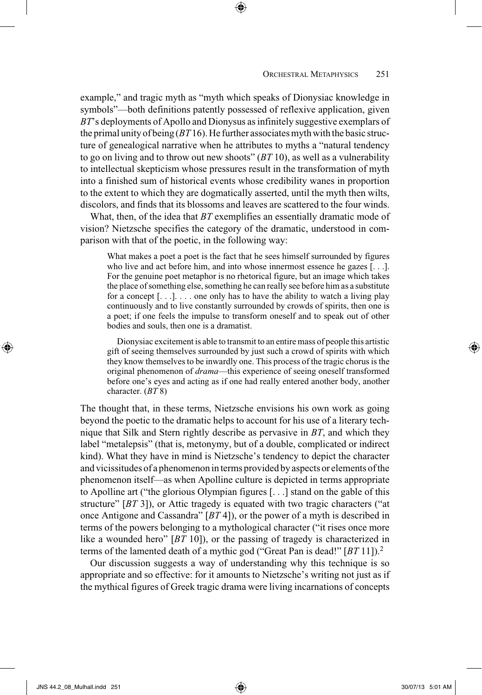example," and tragic myth as "myth which speaks of Dionysiac knowledge in symbols"—both definitions patently possessed of reflexive application, given *BT*'s deployments of Apollo and Dionysus as infinitely suggestive exemplars of the primal unity of being (*BT* 16). He further associates myth with the basic structure of genealogical narrative when he attributes to myths a "natural tendency to go on living and to throw out new shoots" (*BT* 10), as well as a vulnerability to intellectual skepticism whose pressures result in the transformation of myth into a finished sum of historical events whose credibility wanes in proportion to the extent to which they are dogmatically asserted, until the myth then wilts, discolors, and finds that its blossoms and leaves are scattered to the four winds.

What, then, of the idea that *BT* exemplifies an essentially dramatic mode of vision? Nietzsche specifies the category of the dramatic, understood in comparison with that of the poetic, in the following way:

What makes a poet a poet is the fact that he sees himself surrounded by figures who live and act before him, and into whose innermost essence he gazes [. . .]. For the genuine poet metaphor is no rhetorical figure, but an image which takes the place of something else, something he can really see before him as a substitute for a concept  $[...]$ ... one only has to have the ability to watch a living play continuously and to live constantly surrounded by crowds of spirits, then one is a poet; if one feels the impulse to transform oneself and to speak out of other bodies and souls, then one is a dramatist.

Dionysiac excitement is able to transmit to an entire mass of people this artistic gift of seeing themselves surrounded by just such a crowd of spirits with which they know themselves to be inwardly one. This process of the tragic chorus is the original phenomenon of *drama*—this experience of seeing oneself transformed before one's eyes and acting as if one had really entered another body, another character. (*BT* 8)

The thought that, in these terms, Nietzsche envisions his own work as going beyond the poetic to the dramatic helps to account for his use of a literary technique that Silk and Stern rightly describe as pervasive in *BT*, and which they label "metalepsis" (that is, metonymy, but of a double, complicated or indirect kind). What they have in mind is Nietzsche's tendency to depict the character and vicissitudes of a phenomenon in terms provided by aspects or elements of the phenomenon itself—as when Apolline culture is depicted in terms appropriate to Apolline art ("the glorious Olympian figures [. . .] stand on the gable of this structure" [*BT* 3]), or Attic tragedy is equated with two tragic characters ("at once Antigone and Cassandra" [*BT* 4]), or the power of a myth is described in terms of the powers belonging to a mythological character ("it rises once more like a wounded hero" [*BT* 10]), or the passing of tragedy is characterized in terms of the lamented death of a mythic god ("Great Pan is dead!" [*BT* 11]).2

Our discussion suggests a way of understanding why this technique is so appropriate and so effective: for it amounts to Nietzsche's writing not just as if the mythical figures of Greek tragic drama were living incarnations of concepts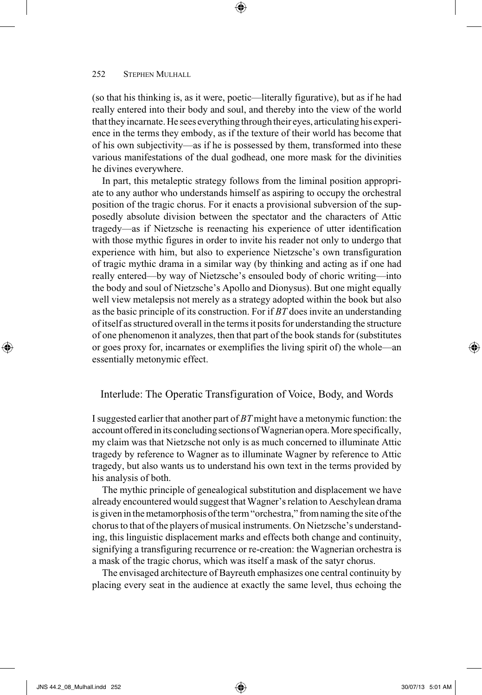(so that his thinking is, as it were, poetic—literally figurative), but as if he had really entered into their body and soul, and thereby into the view of the world that they incarnate. He sees everything through their eyes, articulating his experience in the terms they embody, as if the texture of their world has become that of his own subjectivity—as if he is possessed by them, transformed into these various manifestations of the dual godhead, one more mask for the divinities he divines everywhere.

In part, this metaleptic strategy follows from the liminal position appropriate to any author who understands himself as aspiring to occupy the orchestral position of the tragic chorus. For it enacts a provisional subversion of the supposedly absolute division between the spectator and the characters of Attic tragedy—as if Nietzsche is reenacting his experience of utter identification with those mythic figures in order to invite his reader not only to undergo that experience with him, but also to experience Nietzsche's own transfiguration of tragic mythic drama in a similar way (by thinking and acting as if one had really entered—by way of Nietzsche's ensouled body of choric writing—into the body and soul of Nietzsche's Apollo and Dionysus). But one might equally well view metalepsis not merely as a strategy adopted within the book but also as the basic principle of its construction. For if *BT* does invite an understanding of itself as structured overall in the terms it posits for understanding the structure of one phenomenon it analyzes, then that part of the book stands for (substitutes or goes proxy for, incarnates or exemplifies the living spirit of) the whole—an essentially metonymic effect.

## Interlude: The Operatic Transfiguration of Voice, Body, and Words

I suggested earlier that another part of *BT* might have a metonymic function: the account offered in its concluding sections of Wagnerian opera. More specifically, my claim was that Nietzsche not only is as much concerned to illuminate Attic tragedy by reference to Wagner as to illuminate Wagner by reference to Attic tragedy, but also wants us to understand his own text in the terms provided by his analysis of both.

The mythic principle of genealogical substitution and displacement we have already encountered would suggest that Wagner's relation to Aeschylean drama is given in the metamorphosis of the term "orchestra," from naming the site of the chorus to that of the players of musical instruments. On Nietzsche's understanding, this linguistic displacement marks and effects both change and continuity, signifying a transfiguring recurrence or re-creation: the Wagnerian orchestra is a mask of the tragic chorus, which was itself a mask of the satyr chorus.

The envisaged architecture of Bayreuth emphasizes one central continuity by placing every seat in the audience at exactly the same level, thus echoing the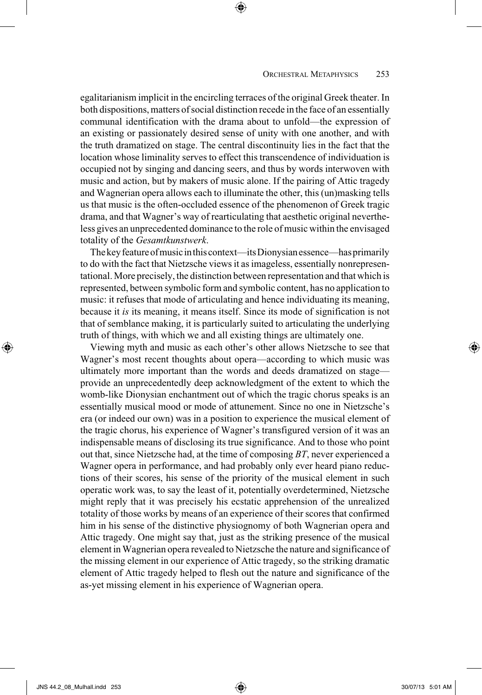egalitarianism implicit in the encircling terraces of the original Greek theater. In both dispositions, matters of social distinction recede in the face of an essentially communal identification with the drama about to unfold—the expression of an existing or passionately desired sense of unity with one another, and with the truth dramatized on stage. The central discontinuity lies in the fact that the location whose liminality serves to effect this transcendence of individuation is occupied not by singing and dancing seers, and thus by words interwoven with music and action, but by makers of music alone. If the pairing of Attic tragedy and Wagnerian opera allows each to illuminate the other, this (un)masking tells us that music is the often-occluded essence of the phenomenon of Greek tragic drama, and that Wagner's way of rearticulating that aesthetic original nevertheless gives an unprecedented dominance to the role of music within the envisaged totality of the *Gesamtkunstwerk*.

The key feature of music in this context—its Dionysian essence—has primarily to do with the fact that Nietzsche views it as imageless, essentially nonrepresentational. More precisely, the distinction between representation and that which is represented, between symbolic form and symbolic content, has no application to music: it refuses that mode of articulating and hence individuating its meaning, because it *is* its meaning, it means itself. Since its mode of signification is not that of semblance making, it is particularly suited to articulating the underlying truth of things, with which we and all existing things are ultimately one.

Viewing myth and music as each other's other allows Nietzsche to see that Wagner's most recent thoughts about opera—according to which music was ultimately more important than the words and deeds dramatized on stage provide an unprecedentedly deep acknowledgment of the extent to which the womb-like Dionysian enchantment out of which the tragic chorus speaks is an essentially musical mood or mode of attunement. Since no one in Nietzsche's era (or indeed our own) was in a position to experience the musical element of the tragic chorus, his experience of Wagner's transfigured version of it was an indispensable means of disclosing its true significance. And to those who point out that, since Nietzsche had, at the time of composing *BT*, never experienced a Wagner opera in performance, and had probably only ever heard piano reductions of their scores, his sense of the priority of the musical element in such operatic work was, to say the least of it, potentially overdetermined, Nietzsche might reply that it was precisely his ecstatic apprehension of the unrealized totality of those works by means of an experience of their scores that confirmed him in his sense of the distinctive physiognomy of both Wagnerian opera and Attic tragedy. One might say that, just as the striking presence of the musical element in Wagnerian opera revealed to Nietzsche the nature and significance of the missing element in our experience of Attic tragedy, so the striking dramatic element of Attic tragedy helped to flesh out the nature and significance of the as-yet missing element in his experience of Wagnerian opera.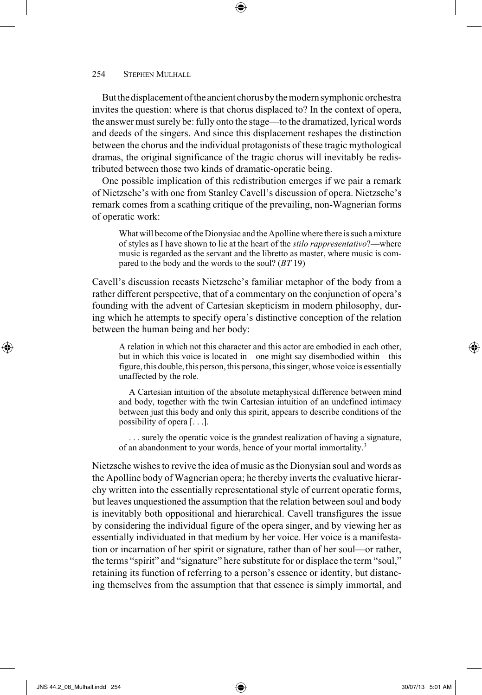#### 254 Stephen Mulhall

But the displacement of the ancient chorus by the modern symphonic orchestra invites the question: where is that chorus displaced to? In the context of opera, the answer must surely be: fully onto the stage—to the dramatized, lyrical words and deeds of the singers. And since this displacement reshapes the distinction between the chorus and the individual protagonists of these tragic mythological dramas, the original significance of the tragic chorus will inevitably be redistributed between those two kinds of dramatic-operatic being.

One possible implication of this redistribution emerges if we pair a remark of Nietzsche's with one from Stanley Cavell's discussion of opera. Nietzsche's remark comes from a scathing critique of the prevailing, non-Wagnerian forms of operatic work:

What will become of the Dionysiac and the Apolline where there is such a mixture of styles as I have shown to lie at the heart of the *stilo rappresentativo*?—where music is regarded as the servant and the libretto as master, where music is compared to the body and the words to the soul? (*BT* 19)

Cavell's discussion recasts Nietzsche's familiar metaphor of the body from a rather different perspective, that of a commentary on the conjunction of opera's founding with the advent of Cartesian skepticism in modern philosophy, during which he attempts to specify opera's distinctive conception of the relation between the human being and her body:

A relation in which not this character and this actor are embodied in each other, but in which this voice is located in—one might say disembodied within—this figure, this double, this person, this persona, this singer, whose voice is essentially unaffected by the role.

A Cartesian intuition of the absolute metaphysical difference between mind and body, together with the twin Cartesian intuition of an undefined intimacy between just this body and only this spirit, appears to describe conditions of the possibility of opera [. . .].

. . . surely the operatic voice is the grandest realization of having a signature, of an abandonment to your words, hence of your mortal immortality.3

Nietzsche wishes to revive the idea of music as the Dionysian soul and words as the Apolline body of Wagnerian opera; he thereby inverts the evaluative hierarchy written into the essentially representational style of current operatic forms, but leaves unquestioned the assumption that the relation between soul and body is inevitably both oppositional and hierarchical. Cavell transfigures the issue by considering the individual figure of the opera singer, and by viewing her as essentially individuated in that medium by her voice. Her voice is a manifestation or incarnation of her spirit or signature, rather than of her soul—or rather, the terms "spirit" and "signature" here substitute for or displace the term "soul," retaining its function of referring to a person's essence or identity, but distancing themselves from the assumption that that essence is simply immortal, and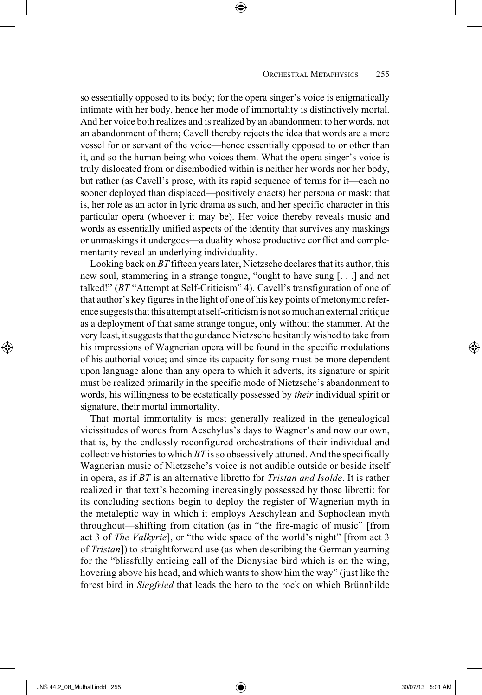so essentially opposed to its body; for the opera singer's voice is enigmatically intimate with her body, hence her mode of immortality is distinctively mortal. And her voice both realizes and is realized by an abandonment to her words, not an abandonment of them; Cavell thereby rejects the idea that words are a mere vessel for or servant of the voice—hence essentially opposed to or other than it, and so the human being who voices them. What the opera singer's voice is truly dislocated from or disembodied within is neither her words nor her body, but rather (as Cavell's prose, with its rapid sequence of terms for it—each no sooner deployed than displaced—positively enacts) her persona or mask: that is, her role as an actor in lyric drama as such, and her specific character in this particular opera (whoever it may be). Her voice thereby reveals music and words as essentially unified aspects of the identity that survives any maskings or unmaskings it undergoes—a duality whose productive conflict and complementarity reveal an underlying individuality.

Looking back on *BT* fifteen years later, Nietzsche declares that its author, this new soul, stammering in a strange tongue, "ought to have sung [. . .] and not talked!" (*BT* "Attempt at Self-Criticism" 4). Cavell's transfiguration of one of that author's key figures in the light of one of his key points of metonymic reference suggests that this attempt at self-criticism is not so much an external critique as a deployment of that same strange tongue, only without the stammer. At the very least, it suggests that the guidance Nietzsche hesitantly wished to take from his impressions of Wagnerian opera will be found in the specific modulations of his authorial voice; and since its capacity for song must be more dependent upon language alone than any opera to which it adverts, its signature or spirit must be realized primarily in the specific mode of Nietzsche's abandonment to words, his willingness to be ecstatically possessed by *their* individual spirit or signature, their mortal immortality.

That mortal immortality is most generally realized in the genealogical vicissitudes of words from Aeschylus's days to Wagner's and now our own, that is, by the endlessly reconfigured orchestrations of their individual and collective histories to which *BT* is so obsessively attuned. And the specifically Wagnerian music of Nietzsche's voice is not audible outside or beside itself in opera, as if *BT* is an alternative libretto for *Tristan and Isolde*. It is rather realized in that text's becoming increasingly possessed by those libretti: for its concluding sections begin to deploy the register of Wagnerian myth in the metaleptic way in which it employs Aeschylean and Sophoclean myth throughout—shifting from citation (as in "the fire-magic of music" [from act 3 of *The Valkyrie*], or "the wide space of the world's night" [from act 3 of *Tristan*]) to straightforward use (as when describing the German yearning for the "blissfully enticing call of the Dionysiac bird which is on the wing, hovering above his head, and which wants to show him the way" (just like the forest bird in *Siegfried* that leads the hero to the rock on which Brünnhilde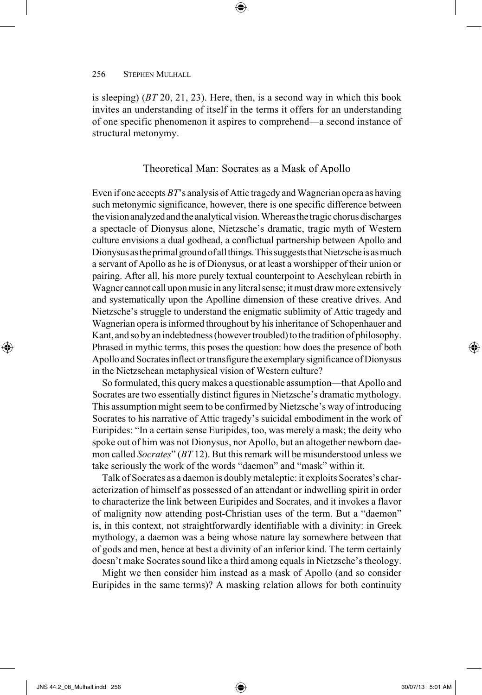is sleeping) (*BT* 20, 21, 23). Here, then, is a second way in which this book invites an understanding of itself in the terms it offers for an understanding of one specific phenomenon it aspires to comprehend—a second instance of structural metonymy.

### Theoretical Man: Socrates as a Mask of Apollo

Even if one accepts *BT*'s analysis of Attic tragedy and Wagnerian opera as having such metonymic significance, however, there is one specific difference between the vision analyzed and the analytical vision. Whereas the tragic chorus discharges a spectacle of Dionysus alone, Nietzsche's dramatic, tragic myth of Western culture envisions a dual godhead, a conflictual partnership between Apollo and Dionysus as the primal ground of all things. This suggests that Nietzsche is as much a servant of Apollo as he is of Dionysus, or at least a worshipper of their union or pairing. After all, his more purely textual counterpoint to Aeschylean rebirth in Wagner cannot call upon music in any literal sense; it must draw more extensively and systematically upon the Apolline dimension of these creative drives. And Nietzsche's struggle to understand the enigmatic sublimity of Attic tragedy and Wagnerian opera is informed throughout by his inheritance of Schopenhauer and Kant, and so by an indebtedness (however troubled) to the tradition of philosophy. Phrased in mythic terms, this poses the question: how does the presence of both Apollo and Socrates inflect or transfigure the exemplary significance of Dionysus in the Nietzschean metaphysical vision of Western culture?

So formulated, this query makes a questionable assumption—that Apollo and Socrates are two essentially distinct figures in Nietzsche's dramatic mythology. This assumption might seem to be confirmed by Nietzsche's way of introducing Socrates to his narrative of Attic tragedy's suicidal embodiment in the work of Euripides: "In a certain sense Euripides, too, was merely a mask; the deity who spoke out of him was not Dionysus, nor Apollo, but an altogether newborn daemon called *Socrates*" (*BT* 12). But this remark will be misunderstood unless we take seriously the work of the words "daemon" and "mask" within it.

Talk of Socrates as a daemon is doubly metaleptic: it exploits Socrates's characterization of himself as possessed of an attendant or indwelling spirit in order to characterize the link between Euripides and Socrates, and it invokes a flavor of malignity now attending post-Christian uses of the term. But a "daemon" is, in this context, not straightforwardly identifiable with a divinity: in Greek mythology, a daemon was a being whose nature lay somewhere between that of gods and men, hence at best a divinity of an inferior kind. The term certainly doesn't make Socrates sound like a third among equals in Nietzsche's theology.

Might we then consider him instead as a mask of Apollo (and so consider Euripides in the same terms)? A masking relation allows for both continuity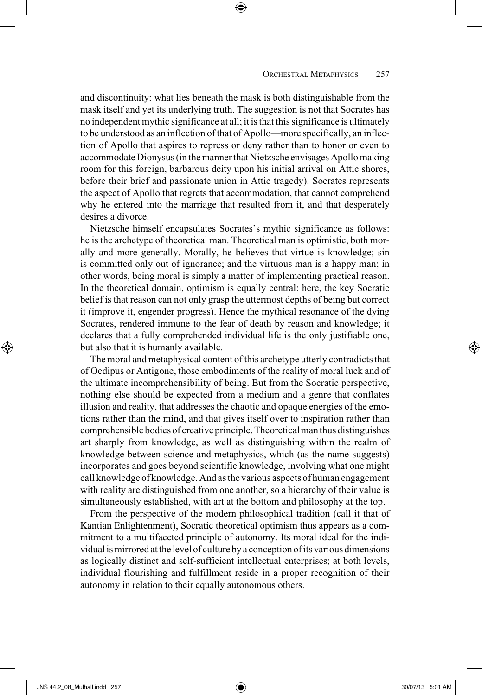and discontinuity: what lies beneath the mask is both distinguishable from the mask itself and yet its underlying truth. The suggestion is not that Socrates has no independent mythic significance at all; it is that this significance is ultimately to be understood as an inflection of that of Apollo—more specifically, an inflection of Apollo that aspires to repress or deny rather than to honor or even to accommodate Dionysus (in the manner that Nietzsche envisages Apollo making room for this foreign, barbarous deity upon his initial arrival on Attic shores, before their brief and passionate union in Attic tragedy). Socrates represents the aspect of Apollo that regrets that accommodation, that cannot comprehend why he entered into the marriage that resulted from it, and that desperately desires a divorce.

Nietzsche himself encapsulates Socrates's mythic significance as follows: he is the archetype of theoretical man. Theoretical man is optimistic, both morally and more generally. Morally, he believes that virtue is knowledge; sin is committed only out of ignorance; and the virtuous man is a happy man; in other words, being moral is simply a matter of implementing practical reason. In the theoretical domain, optimism is equally central: here, the key Socratic belief is that reason can not only grasp the uttermost depths of being but correct it (improve it, engender progress). Hence the mythical resonance of the dying Socrates, rendered immune to the fear of death by reason and knowledge; it declares that a fully comprehended individual life is the only justifiable one, but also that it is humanly available.

The moral and metaphysical content of this archetype utterly contradicts that of Oedipus or Antigone, those embodiments of the reality of moral luck and of the ultimate incomprehensibility of being. But from the Socratic perspective, nothing else should be expected from a medium and a genre that conflates illusion and reality, that addresses the chaotic and opaque energies of the emotions rather than the mind, and that gives itself over to inspiration rather than comprehensible bodies of creative principle. Theoretical man thus distinguishes art sharply from knowledge, as well as distinguishing within the realm of knowledge between science and metaphysics, which (as the name suggests) incorporates and goes beyond scientific knowledge, involving what one might call knowledge of knowledge. And as the various aspects of human engagement with reality are distinguished from one another, so a hierarchy of their value is simultaneously established, with art at the bottom and philosophy at the top.

From the perspective of the modern philosophical tradition (call it that of Kantian Enlightenment), Socratic theoretical optimism thus appears as a commitment to a multifaceted principle of autonomy. Its moral ideal for the individual is mirrored at the level of culture by a conception of its various dimensions as logically distinct and self-sufficient intellectual enterprises; at both levels, individual flourishing and fulfillment reside in a proper recognition of their autonomy in relation to their equally autonomous others.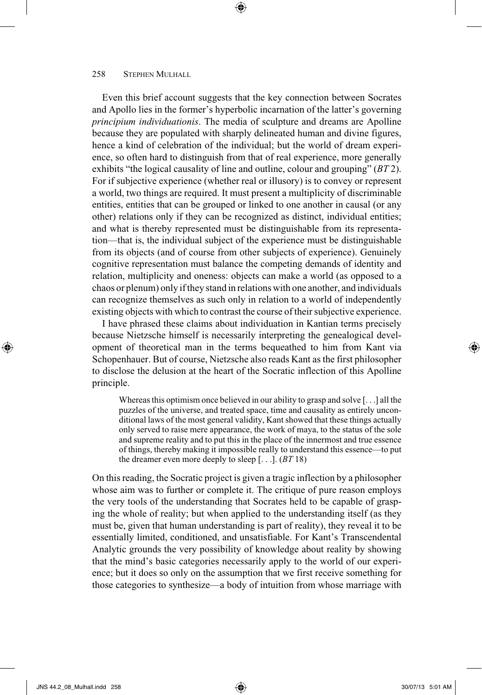#### 258 STEPHEN MULHALL

Even this brief account suggests that the key connection between Socrates and Apollo lies in the former's hyperbolic incarnation of the latter's governing *principium individuationis*. The media of sculpture and dreams are Apolline because they are populated with sharply delineated human and divine figures, hence a kind of celebration of the individual; but the world of dream experience, so often hard to distinguish from that of real experience, more generally exhibits "the logical causality of line and outline, colour and grouping" (*BT* 2). For if subjective experience (whether real or illusory) is to convey or represent a world, two things are required. It must present a multiplicity of discriminable entities, entities that can be grouped or linked to one another in causal (or any other) relations only if they can be recognized as distinct, individual entities; and what is thereby represented must be distinguishable from its representation—that is, the individual subject of the experience must be distinguishable from its objects (and of course from other subjects of experience). Genuinely cognitive representation must balance the competing demands of identity and relation, multiplicity and oneness: objects can make a world (as opposed to a chaos or plenum) only if they stand in relations with one another, and individuals can recognize themselves as such only in relation to a world of independently existing objects with which to contrast the course of their subjective experience.

I have phrased these claims about individuation in Kantian terms precisely because Nietzsche himself is necessarily interpreting the genealogical development of theoretical man in the terms bequeathed to him from Kant via Schopenhauer. But of course, Nietzsche also reads Kant as the first philosopher to disclose the delusion at the heart of the Socratic inflection of this Apolline principle.

Whereas this optimism once believed in our ability to grasp and solve [. . .] all the puzzles of the universe, and treated space, time and causality as entirely unconditional laws of the most general validity, Kant showed that these things actually only served to raise mere appearance, the work of maya, to the status of the sole and supreme reality and to put this in the place of the innermost and true essence of things, thereby making it impossible really to understand this essence—to put the dreamer even more deeply to sleep [. . .]. (*BT* 18)

On this reading, the Socratic project is given a tragic inflection by a philosopher whose aim was to further or complete it. The critique of pure reason employs the very tools of the understanding that Socrates held to be capable of grasping the whole of reality; but when applied to the understanding itself (as they must be, given that human understanding is part of reality), they reveal it to be essentially limited, conditioned, and unsatisfiable. For Kant's Transcendental Analytic grounds the very possibility of knowledge about reality by showing that the mind's basic categories necessarily apply to the world of our experience; but it does so only on the assumption that we first receive something for those categories to synthesize—a body of intuition from whose marriage with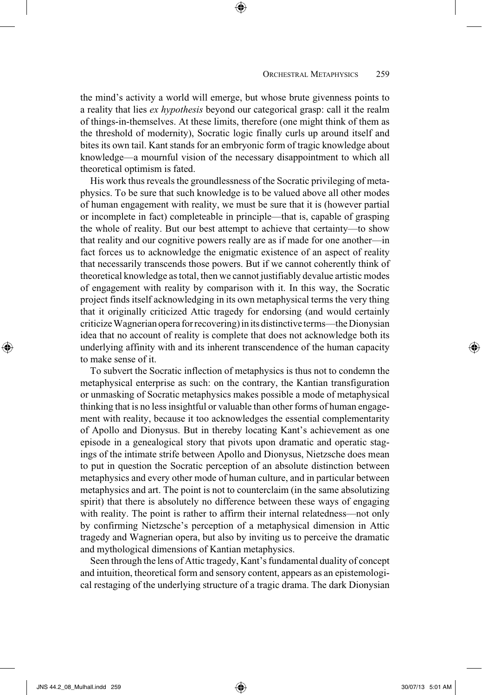the mind's activity a world will emerge, but whose brute givenness points to a reality that lies *ex hypothesis* beyond our categorical grasp: call it the realm of things-in-themselves. At these limits, therefore (one might think of them as the threshold of modernity), Socratic logic finally curls up around itself and bites its own tail. Kant stands for an embryonic form of tragic knowledge about knowledge—a mournful vision of the necessary disappointment to which all theoretical optimism is fated.

His work thus reveals the groundlessness of the Socratic privileging of metaphysics. To be sure that such knowledge is to be valued above all other modes of human engagement with reality, we must be sure that it is (however partial or incomplete in fact) completeable in principle—that is, capable of grasping the whole of reality. But our best attempt to achieve that certainty—to show that reality and our cognitive powers really are as if made for one another—in fact forces us to acknowledge the enigmatic existence of an aspect of reality that necessarily transcends those powers. But if we cannot coherently think of theoretical knowledge as total, then we cannot justifiably devalue artistic modes of engagement with reality by comparison with it. In this way, the Socratic project finds itself acknowledging in its own metaphysical terms the very thing that it originally criticized Attic tragedy for endorsing (and would certainly criticize Wagnerian opera for recovering) in its distinctive terms—the Dionysian idea that no account of reality is complete that does not acknowledge both its underlying affinity with and its inherent transcendence of the human capacity to make sense of it.

To subvert the Socratic inflection of metaphysics is thus not to condemn the metaphysical enterprise as such: on the contrary, the Kantian transfiguration or unmasking of Socratic metaphysics makes possible a mode of metaphysical thinking that is no less insightful or valuable than other forms of human engagement with reality, because it too acknowledges the essential complementarity of Apollo and Dionysus. But in thereby locating Kant's achievement as one episode in a genealogical story that pivots upon dramatic and operatic stagings of the intimate strife between Apollo and Dionysus, Nietzsche does mean to put in question the Socratic perception of an absolute distinction between metaphysics and every other mode of human culture, and in particular between metaphysics and art. The point is not to counterclaim (in the same absolutizing spirit) that there is absolutely no difference between these ways of engaging with reality. The point is rather to affirm their internal relatedness—not only by confirming Nietzsche's perception of a metaphysical dimension in Attic tragedy and Wagnerian opera, but also by inviting us to perceive the dramatic and mythological dimensions of Kantian metaphysics.

Seen through the lens of Attic tragedy, Kant's fundamental duality of concept and intuition, theoretical form and sensory content, appears as an epistemological restaging of the underlying structure of a tragic drama. The dark Dionysian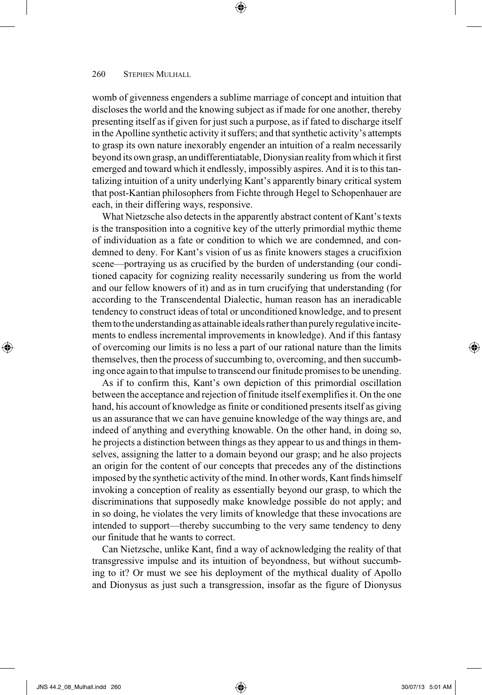womb of givenness engenders a sublime marriage of concept and intuition that discloses the world and the knowing subject as if made for one another, thereby presenting itself as if given for just such a purpose, as if fated to discharge itself in the Apolline synthetic activity it suffers; and that synthetic activity's attempts to grasp its own nature inexorably engender an intuition of a realm necessarily beyond its own grasp, an undifferentiatable, Dionysian reality from which it first emerged and toward which it endlessly, impossibly aspires. And it is to this tantalizing intuition of a unity underlying Kant's apparently binary critical system that post-Kantian philosophers from Fichte through Hegel to Schopenhauer are each, in their differing ways, responsive.

What Nietzsche also detects in the apparently abstract content of Kant's texts is the transposition into a cognitive key of the utterly primordial mythic theme of individuation as a fate or condition to which we are condemned, and condemned to deny. For Kant's vision of us as finite knowers stages a crucifixion scene—portraying us as crucified by the burden of understanding (our conditioned capacity for cognizing reality necessarily sundering us from the world and our fellow knowers of it) and as in turn crucifying that understanding (for according to the Transcendental Dialectic, human reason has an ineradicable tendency to construct ideas of total or unconditioned knowledge, and to present them to the understanding as attainable ideals rather than purely regulative incitements to endless incremental improvements in knowledge). And if this fantasy of overcoming our limits is no less a part of our rational nature than the limits themselves, then the process of succumbing to, overcoming, and then succumbing once again to that impulse to transcend our finitude promises to be unending.

As if to confirm this, Kant's own depiction of this primordial oscillation between the acceptance and rejection of finitude itself exemplifies it. On the one hand, his account of knowledge as finite or conditioned presents itself as giving us an assurance that we can have genuine knowledge of the way things are, and indeed of anything and everything knowable. On the other hand, in doing so, he projects a distinction between things as they appear to us and things in themselves, assigning the latter to a domain beyond our grasp; and he also projects an origin for the content of our concepts that precedes any of the distinctions imposed by the synthetic activity of the mind. In other words, Kant finds himself invoking a conception of reality as essentially beyond our grasp, to which the discriminations that supposedly make knowledge possible do not apply; and in so doing, he violates the very limits of knowledge that these invocations are intended to support—thereby succumbing to the very same tendency to deny our finitude that he wants to correct.

Can Nietzsche, unlike Kant, find a way of acknowledging the reality of that transgressive impulse and its intuition of beyondness, but without succumbing to it? Or must we see his deployment of the mythical duality of Apollo and Dionysus as just such a transgression, insofar as the figure of Dionysus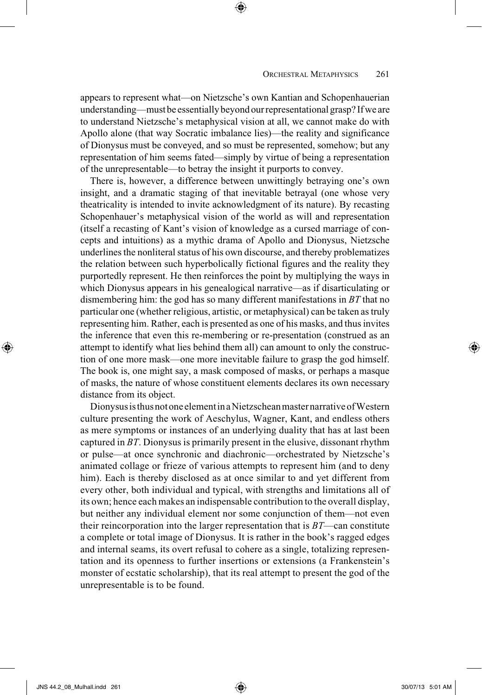appears to represent what—on Nietzsche's own Kantian and Schopenhauerian understanding—must be essentially beyond our representational grasp? If we are to understand Nietzsche's metaphysical vision at all, we cannot make do with Apollo alone (that way Socratic imbalance lies)—the reality and significance of Dionysus must be conveyed, and so must be represented, somehow; but any representation of him seems fated—simply by virtue of being a representation of the unrepresentable—to betray the insight it purports to convey.

There is, however, a difference between unwittingly betraying one's own insight, and a dramatic staging of that inevitable betrayal (one whose very theatricality is intended to invite acknowledgment of its nature). By recasting Schopenhauer's metaphysical vision of the world as will and representation (itself a recasting of Kant's vision of knowledge as a cursed marriage of concepts and intuitions) as a mythic drama of Apollo and Dionysus, Nietzsche underlines the nonliteral status of his own discourse, and thereby problematizes the relation between such hyperbolically fictional figures and the reality they purportedly represent. He then reinforces the point by multiplying the ways in which Dionysus appears in his genealogical narrative—as if disarticulating or dismembering him: the god has so many different manifestations in *BT* that no particular one (whether religious, artistic, or metaphysical) can be taken as truly representing him. Rather, each is presented as one of his masks, and thus invites the inference that even this re-membering or re-presentation (construed as an attempt to identify what lies behind them all) can amount to only the construction of one more mask—one more inevitable failure to grasp the god himself. The book is, one might say, a mask composed of masks, or perhaps a masque of masks, the nature of whose constituent elements declares its own necessary distance from its object.

Dionysus is thus not one element in a Nietzschean master narrative of Western culture presenting the work of Aeschylus, Wagner, Kant, and endless others as mere symptoms or instances of an underlying duality that has at last been captured in *BT*. Dionysus is primarily present in the elusive, dissonant rhythm or pulse—at once synchronic and diachronic—orchestrated by Nietzsche's animated collage or frieze of various attempts to represent him (and to deny him). Each is thereby disclosed as at once similar to and yet different from every other, both individual and typical, with strengths and limitations all of its own; hence each makes an indispensable contribution to the overall display, but neither any individual element nor some conjunction of them—not even their reincorporation into the larger representation that is *BT*—can constitute a complete or total image of Dionysus. It is rather in the book's ragged edges and internal seams, its overt refusal to cohere as a single, totalizing representation and its openness to further insertions or extensions (a Frankenstein's monster of ecstatic scholarship), that its real attempt to present the god of the unrepresentable is to be found.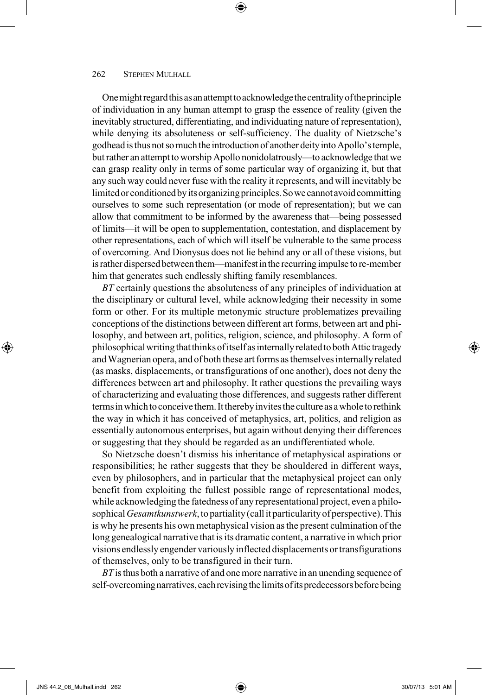#### 262 STEPHEN MULHALL

One might regard this as an attempt to acknowledge the centrality of the principle of individuation in any human attempt to grasp the essence of reality (given the inevitably structured, differentiating, and individuating nature of representation), while denying its absoluteness or self-sufficiency. The duality of Nietzsche's godhead is thus not so much the introduction of another deity into Apollo's temple, but rather an attempt to worship Apollo nonidolatrously—to acknowledge that we can grasp reality only in terms of some particular way of organizing it, but that any such way could never fuse with the reality it represents, and will inevitably be limited or conditioned by its organizing principles. So we cannot avoid committing ourselves to some such representation (or mode of representation); but we can allow that commitment to be informed by the awareness that—being possessed of limits—it will be open to supplementation, contestation, and displacement by other representations, each of which will itself be vulnerable to the same process of overcoming. And Dionysus does not lie behind any or all of these visions, but is rather dispersed between them—manifest in the recurring impulse to re-member him that generates such endlessly shifting family resemblances.

*BT* certainly questions the absoluteness of any principles of individuation at the disciplinary or cultural level, while acknowledging their necessity in some form or other. For its multiple metonymic structure problematizes prevailing conceptions of the distinctions between different art forms, between art and philosophy, and between art, politics, religion, science, and philosophy. A form of philosophical writing that thinks of itself as internally related to both Attic tragedy and Wagnerian opera, and of both these art forms as themselves internally related (as masks, displacements, or transfigurations of one another), does not deny the differences between art and philosophy. It rather questions the prevailing ways of characterizing and evaluating those differences, and suggests rather different terms in which to conceive them. It thereby invites the culture as a whole to rethink the way in which it has conceived of metaphysics, art, politics, and religion as essentially autonomous enterprises, but again without denying their differences or suggesting that they should be regarded as an undifferentiated whole.

So Nietzsche doesn't dismiss his inheritance of metaphysical aspirations or responsibilities; he rather suggests that they be shouldered in different ways, even by philosophers, and in particular that the metaphysical project can only benefit from exploiting the fullest possible range of representational modes, while acknowledging the fatedness of any representational project, even a philosophical *Gesamtkunstwerk*, to partiality (call it particularity of perspective). This is why he presents his own metaphysical vision as the present culmination of the long genealogical narrative that is its dramatic content, a narrative in which prior visions endlessly engender variously inflected displacements or transfigurations of themselves, only to be transfigured in their turn.

*BT* is thus both a narrative of and one more narrative in an unending sequence of self-overcoming narratives, each revising the limits of its predecessors before being